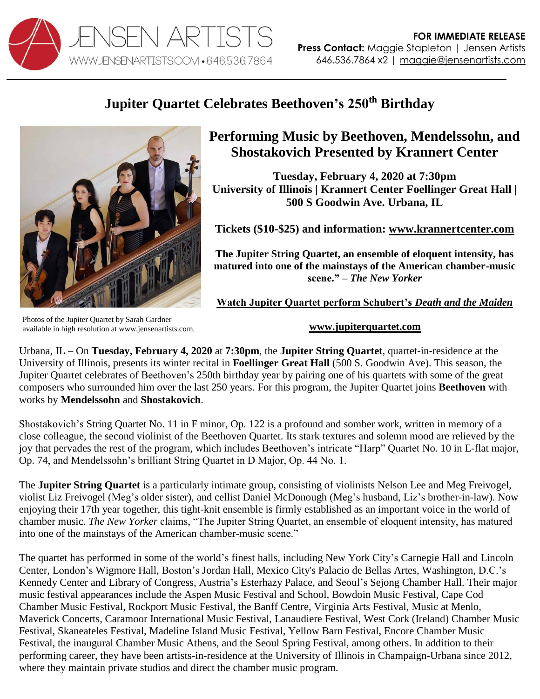

## **Jupiter Quartet Celebrates Beethoven's 250th Birthday**



**Performing Music by Beethoven, Mendelssohn, and Shostakovich Presented by Krannert Center**

**Tuesday, February 4, 2020 at 7:30pm University of Illinois | Krannert Center Foellinger Great Hall | 500 S Goodwin Ave. Urbana, IL**

**Tickets (\$10-\$25) and information: [www.krannertcenter.com](https://krannertcenter.com/events/jupiter-string-quartet-1)**

**The Jupiter String Quartet, an ensemble of eloquent intensity, has matured into one of the mainstays of the American chamber-music scene." –** *The New Yorker*

**Watch Jupiter Quartet perform Schubert's** *Death and the Maiden*

Photos of the Jupiter Quartet by Sarah Gardner available in high resolution at [www.jensenartists.com.](http://www.jensenartists.com/jupiter-string-quartet)

## **[www.jupiterquartet.com](http://www.jupiterquartet.com/)**

Urbana, IL – On **Tuesday, February 4, 2020** at **7:30pm**, the **Jupiter String Quartet**, quartet-in-residence at the University of Illinois, presents its winter recital in **Foellinger Great Hall** (500 S. Goodwin Ave). This season, the Jupiter Quartet celebrates of Beethoven's 250th birthday year by pairing one of his quartets with some of the great composers who surrounded him over the last 250 years. For this program, the Jupiter Quartet joins **Beethoven** with works by **Mendelssohn** and **Shostakovich**.

Shostakovich's String Quartet No. 11 in F minor, Op. 122 is a profound and somber work, written in memory of a close colleague, the second violinist of the Beethoven Quartet. Its stark textures and solemn mood are relieved by the joy that pervades the rest of the program, which includes Beethoven's intricate "Harp" Quartet No. 10 in E-flat major, Op. 74, and Mendelssohn's brilliant String Quartet in D Major, Op. 44 No. 1.

The **Jupiter String Quartet** is a particularly intimate group, consisting of violinists Nelson Lee and Meg Freivogel, violist Liz Freivogel (Meg's older sister), and cellist Daniel McDonough (Meg's husband, Liz's brother-in-law). Now enjoying their 17th year together, this tight-knit ensemble is firmly established as an important voice in the world of chamber music. *The New Yorker* claims, "The Jupiter String Quartet, an ensemble of eloquent intensity, has matured into one of the mainstays of the American chamber-music scene."

The quartet has performed in some of the world's finest halls, including New York City's Carnegie Hall and Lincoln Center, London's Wigmore Hall, Boston's Jordan Hall, Mexico City's Palacio de Bellas Artes, Washington, D.C.'s Kennedy Center and Library of Congress, Austria's Esterhazy Palace, and Seoul's Sejong Chamber Hall. Their major music festival appearances include the Aspen Music Festival and School, Bowdoin Music Festival, Cape Cod Chamber Music Festival, Rockport Music Festival, the Banff Centre, Virginia Arts Festival, Music at Menlo, Maverick Concerts, Caramoor International Music Festival, Lanaudiere Festival, West Cork (Ireland) Chamber Music Festival, Skaneateles Festival, Madeline Island Music Festival, Yellow Barn Festival, Encore Chamber Music Festival, the inaugural Chamber Music Athens, and the Seoul Spring Festival, among others. In addition to their performing career, they have been artists-in-residence at the University of Illinois in Champaign-Urbana since 2012, where they maintain private studios and direct the chamber music program.